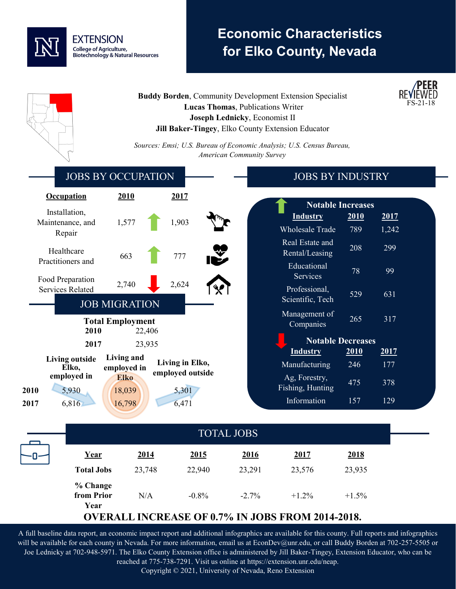

## **Economic Characteristics for Elko County, Nevada**

**/PEER** 

| <b>Buddy Borden, Community Development Extension Specialist</b><br>Lucas Thomas, Publications Writer<br>Joseph Lednicky, Economist II<br>Jill Baker-Tingey, Elko County Extension Educator |                       |                                     |                                  | <b>REVIEWED</b><br>FS-21-18                                          |                          |              |
|--------------------------------------------------------------------------------------------------------------------------------------------------------------------------------------------|-----------------------|-------------------------------------|----------------------------------|----------------------------------------------------------------------|--------------------------|--------------|
|                                                                                                                                                                                            |                       |                                     | <b>American Community Survey</b> | Sources: Emsi; U.S. Bureau of Economic Analysis; U.S. Census Bureau, |                          |              |
| <b>JOBS BY OCCUPATION</b>                                                                                                                                                                  |                       |                                     |                                  | <b>JOBS BY INDUSTRY</b>                                              |                          |              |
| <b>Occupation</b>                                                                                                                                                                          | 2010                  | 2017                                |                                  |                                                                      |                          |              |
| Installation,                                                                                                                                                                              |                       |                                     |                                  |                                                                      | <b>Notable Increases</b> |              |
| Maintenance, and                                                                                                                                                                           | 1,577                 | 1,903                               |                                  | <b>Industry</b><br><b>Wholesale Trade</b>                            | 2010<br>789              | <u>2017</u>  |
| Repair<br>Healthcare                                                                                                                                                                       | 663                   | 777                                 |                                  | Real Estate and<br>Rental/Leasing                                    | 208                      | 1,242<br>299 |
| Practitioners and<br>Food Preparation                                                                                                                                                      |                       |                                     |                                  | Educational<br>Services                                              | 78                       | 99           |
| <b>Services Related</b><br><b>JOB MIGRATION</b>                                                                                                                                            | 2,740                 | 2,624                               |                                  | Professional,<br>Scientific, Tech                                    | 529                      | 631          |
| <b>Total Employment</b><br>2010                                                                                                                                                            | 22,406                |                                     |                                  | Management of<br>Companies                                           | 265                      | 317          |
| 2017                                                                                                                                                                                       | 23,935                |                                     |                                  |                                                                      | <b>Notable Decreases</b> |              |
| <b>Living outside</b>                                                                                                                                                                      | Living and            |                                     |                                  | <b>Industry</b>                                                      | <b>2010</b>              | <u>2017</u>  |
| Elko,                                                                                                                                                                                      | employed in           | Living in Elko,<br>employed outside |                                  | Manufacturing                                                        | 246                      | 177          |
| employed in<br>5,930<br>2010                                                                                                                                                               | <b>Elko</b><br>18,039 | 5,301                               |                                  | Ag, Forestry,<br>Fishing, Hunting                                    | 475                      | 378          |
| 6,816<br>2017                                                                                                                                                                              | 16,798                | 6,471                               |                                  | Information                                                          | 157                      | 129          |
| <b>TOTAL JOBS</b>                                                                                                                                                                          |                       |                                     |                                  |                                                                      |                          |              |
| Year<br>п.                                                                                                                                                                                 | 2014                  | 2015                                | 2016                             | 2017                                                                 | 2018                     |              |
| <b>Total Jobs</b>                                                                                                                                                                          | 23,748                | 22,940                              | 23,291                           | 23,576                                                               | 23,935                   |              |
| % Change<br>from Prior<br>Year                                                                                                                                                             | N/A                   | $-0.8%$                             | $-2.7%$                          | $+1.2%$<br><b>OVERALL INCREASE OF 0.7% IN JOBS FROM 2014-2018.</b>   | $+1.5%$                  |              |

A full baseline data report, an economic impact report and additional infographics are available for this county. Full reports and infographics will be available for each county in Nevada. For more information, email us at EconDev@unr.edu, or call Buddy Borden at 702-257-5505 or Joe Lednicky at 702-948-5971. The Elko County Extension office is administered by Jill Baker-Tingey, Extension Educator, who can be reached at 775-738-7291. Visit us online at https://extension.unr.edu/neap.

Copyright © 2021, University of Nevada, Reno Extension